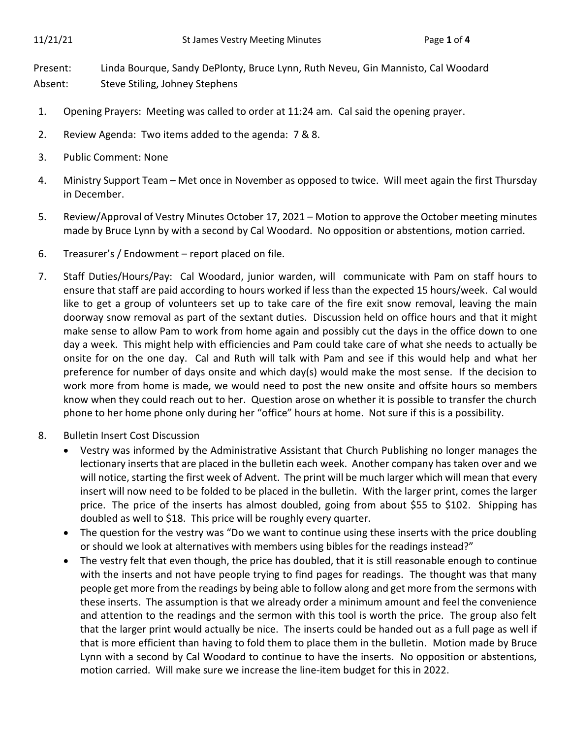Present: Linda Bourque, Sandy DePlonty, Bruce Lynn, Ruth Neveu, Gin Mannisto, Cal Woodard Absent: Steve Stiling, Johney Stephens

- 1. Opening Prayers: Meeting was called to order at 11:24 am. Cal said the opening prayer.
- 2. Review Agenda: Two items added to the agenda: 7 & 8.
- 3. Public Comment: None
- 4. Ministry Support Team Met once in November as opposed to twice. Will meet again the first Thursday in December.
- 5. Review/Approval of Vestry Minutes October 17, 2021 Motion to approve the October meeting minutes made by Bruce Lynn by with a second by Cal Woodard. No opposition or abstentions, motion carried.
- 6. Treasurer's / Endowment report placed on file.
- 7. Staff Duties/Hours/Pay: Cal Woodard, junior warden, will communicate with Pam on staff hours to ensure that staff are paid according to hours worked if less than the expected 15 hours/week. Cal would like to get a group of volunteers set up to take care of the fire exit snow removal, leaving the main doorway snow removal as part of the sextant duties. Discussion held on office hours and that it might make sense to allow Pam to work from home again and possibly cut the days in the office down to one day a week. This might help with efficiencies and Pam could take care of what she needs to actually be onsite for on the one day. Cal and Ruth will talk with Pam and see if this would help and what her preference for number of days onsite and which day(s) would make the most sense. If the decision to work more from home is made, we would need to post the new onsite and offsite hours so members know when they could reach out to her. Question arose on whether it is possible to transfer the church phone to her home phone only during her "office" hours at home. Not sure if this is a possibility.
- 8. Bulletin Insert Cost Discussion
	- Vestry was informed by the Administrative Assistant that Church Publishing no longer manages the lectionary inserts that are placed in the bulletin each week. Another company has taken over and we will notice, starting the first week of Advent. The print will be much larger which will mean that every insert will now need to be folded to be placed in the bulletin. With the larger print, comes the larger price. The price of the inserts has almost doubled, going from about \$55 to \$102. Shipping has doubled as well to \$18. This price will be roughly every quarter.
	- The question for the vestry was "Do we want to continue using these inserts with the price doubling or should we look at alternatives with members using bibles for the readings instead?"
	- The vestry felt that even though, the price has doubled, that it is still reasonable enough to continue with the inserts and not have people trying to find pages for readings. The thought was that many people get more from the readings by being able to follow along and get more from the sermons with these inserts. The assumption is that we already order a minimum amount and feel the convenience and attention to the readings and the sermon with this tool is worth the price. The group also felt that the larger print would actually be nice. The inserts could be handed out as a full page as well if that is more efficient than having to fold them to place them in the bulletin. Motion made by Bruce Lynn with a second by Cal Woodard to continue to have the inserts. No opposition or abstentions, motion carried. Will make sure we increase the line-item budget for this in 2022.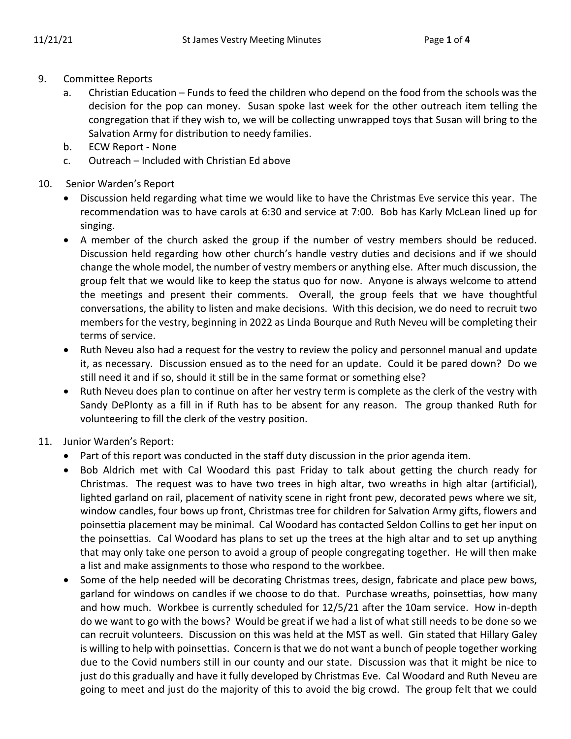- 9. Committee Reports
	- a. Christian Education Funds to feed the children who depend on the food from the schools was the decision for the pop can money. Susan spoke last week for the other outreach item telling the congregation that if they wish to, we will be collecting unwrapped toys that Susan will bring to the Salvation Army for distribution to needy families.
	- b. ECW Report None
	- c. Outreach Included with Christian Ed above
- 10. Senior Warden's Report
	- Discussion held regarding what time we would like to have the Christmas Eve service this year. The recommendation was to have carols at 6:30 and service at 7:00. Bob has Karly McLean lined up for singing.
	- A member of the church asked the group if the number of vestry members should be reduced. Discussion held regarding how other church's handle vestry duties and decisions and if we should change the whole model, the number of vestry members or anything else. After much discussion, the group felt that we would like to keep the status quo for now. Anyone is always welcome to attend the meetings and present their comments. Overall, the group feels that we have thoughtful conversations, the ability to listen and make decisions. With this decision, we do need to recruit two members for the vestry, beginning in 2022 as Linda Bourque and Ruth Neveu will be completing their terms of service.
	- Ruth Neveu also had a request for the vestry to review the policy and personnel manual and update it, as necessary. Discussion ensued as to the need for an update. Could it be pared down? Do we still need it and if so, should it still be in the same format or something else?
	- Ruth Neveu does plan to continue on after her vestry term is complete as the clerk of the vestry with Sandy DePlonty as a fill in if Ruth has to be absent for any reason. The group thanked Ruth for volunteering to fill the clerk of the vestry position.
- 11. Junior Warden's Report:
	- Part of this report was conducted in the staff duty discussion in the prior agenda item.
	- Bob Aldrich met with Cal Woodard this past Friday to talk about getting the church ready for Christmas. The request was to have two trees in high altar, two wreaths in high altar (artificial), lighted garland on rail, placement of nativity scene in right front pew, decorated pews where we sit, window candles, four bows up front, Christmas tree for children for Salvation Army gifts, flowers and poinsettia placement may be minimal. Cal Woodard has contacted Seldon Collins to get her input on the poinsettias. Cal Woodard has plans to set up the trees at the high altar and to set up anything that may only take one person to avoid a group of people congregating together. He will then make a list and make assignments to those who respond to the workbee.
	- Some of the help needed will be decorating Christmas trees, design, fabricate and place pew bows, garland for windows on candles if we choose to do that. Purchase wreaths, poinsettias, how many and how much. Workbee is currently scheduled for 12/5/21 after the 10am service. How in-depth do we want to go with the bows? Would be great if we had a list of what still needs to be done so we can recruit volunteers. Discussion on this was held at the MST as well. Gin stated that Hillary Galey is willing to help with poinsettias. Concern is that we do not want a bunch of people together working due to the Covid numbers still in our county and our state. Discussion was that it might be nice to just do this gradually and have it fully developed by Christmas Eve. Cal Woodard and Ruth Neveu are going to meet and just do the majority of this to avoid the big crowd. The group felt that we could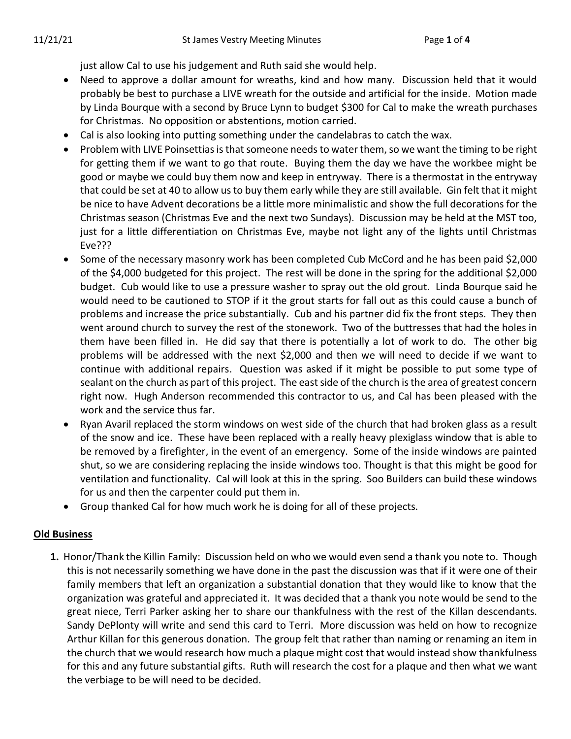just allow Cal to use his judgement and Ruth said she would help.

- Need to approve a dollar amount for wreaths, kind and how many. Discussion held that it would probably be best to purchase a LIVE wreath for the outside and artificial for the inside. Motion made by Linda Bourque with a second by Bruce Lynn to budget \$300 for Cal to make the wreath purchases for Christmas. No opposition or abstentions, motion carried.
- Cal is also looking into putting something under the candelabras to catch the wax.
- Problem with LIVE Poinsettias is that someone needs to water them, so we want the timing to be right for getting them if we want to go that route. Buying them the day we have the workbee might be good or maybe we could buy them now and keep in entryway. There is a thermostat in the entryway that could be set at 40 to allow us to buy them early while they are still available. Gin felt that it might be nice to have Advent decorations be a little more minimalistic and show the full decorations for the Christmas season (Christmas Eve and the next two Sundays). Discussion may be held at the MST too, just for a little differentiation on Christmas Eve, maybe not light any of the lights until Christmas Eve???
- Some of the necessary masonry work has been completed Cub McCord and he has been paid \$2,000 of the \$4,000 budgeted for this project. The rest will be done in the spring for the additional \$2,000 budget. Cub would like to use a pressure washer to spray out the old grout. Linda Bourque said he would need to be cautioned to STOP if it the grout starts for fall out as this could cause a bunch of problems and increase the price substantially. Cub and his partner did fix the front steps. They then went around church to survey the rest of the stonework. Two of the buttresses that had the holes in them have been filled in. He did say that there is potentially a lot of work to do. The other big problems will be addressed with the next \$2,000 and then we will need to decide if we want to continue with additional repairs. Question was asked if it might be possible to put some type of sealant on the church as part of this project. The east side of the church is the area of greatest concern right now. Hugh Anderson recommended this contractor to us, and Cal has been pleased with the work and the service thus far.
- Ryan Avaril replaced the storm windows on west side of the church that had broken glass as a result of the snow and ice. These have been replaced with a really heavy plexiglass window that is able to be removed by a firefighter, in the event of an emergency. Some of the inside windows are painted shut, so we are considering replacing the inside windows too. Thought is that this might be good for ventilation and functionality. Cal will look at this in the spring. Soo Builders can build these windows for us and then the carpenter could put them in.
- Group thanked Cal for how much work he is doing for all of these projects.

## **Old Business**

**1.** Honor/Thank the Killin Family: Discussion held on who we would even send a thank you note to. Though this is not necessarily something we have done in the past the discussion was that if it were one of their family members that left an organization a substantial donation that they would like to know that the organization was grateful and appreciated it. It was decided that a thank you note would be send to the great niece, Terri Parker asking her to share our thankfulness with the rest of the Killan descendants. Sandy DePlonty will write and send this card to Terri. More discussion was held on how to recognize Arthur Killan for this generous donation. The group felt that rather than naming or renaming an item in the church that we would research how much a plaque might cost that would instead show thankfulness for this and any future substantial gifts. Ruth will research the cost for a plaque and then what we want the verbiage to be will need to be decided.